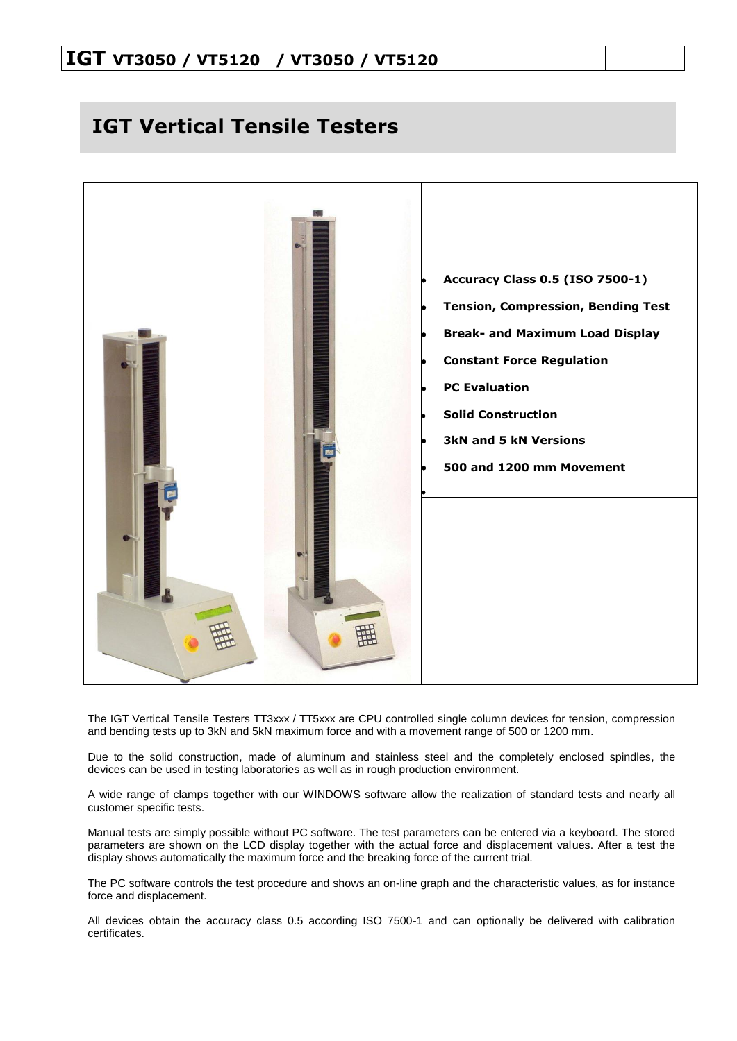# **IGT VT3050 / VT5120 / VT3050 / VT5120**

# **IGT Vertical Tensile Testers**



The IGT Vertical Tensile Testers TT3xxx / TT5xxx are CPU controlled single column devices for tension, compression and bending tests up to 3kN and 5kN maximum force and with a movement range of 500 or 1200 mm.

Due to the solid construction, made of aluminum and stainless steel and the completely enclosed spindles, the devices can be used in testing laboratories as well as in rough production environment.

A wide range of clamps together with our WINDOWS software allow the realization of standard tests and nearly all customer specific tests.

Manual tests are simply possible without PC software. The test parameters can be entered via a keyboard. The stored parameters are shown on the LCD display together with the actual force and displacement values. After a test the display shows automatically the maximum force and the breaking force of the current trial.

The PC software controls the test procedure and shows an on-line graph and the characteristic values, as for instance force and displacement.

All devices obtain the accuracy class 0.5 according ISO 7500-1 and can optionally be delivered with calibration certificates.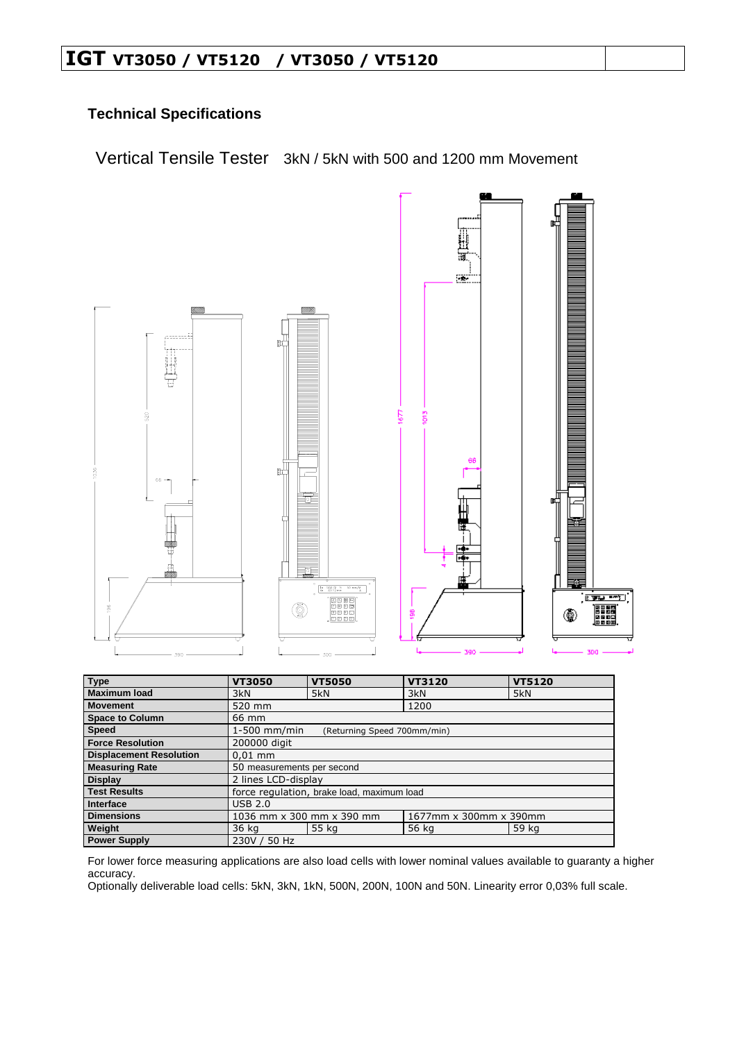# **IGT VT3050 / VT5120 / VT3050 / VT5120**

## **Technical Specifications**

Vertical Tensile Tester 3kN / 5kN with 500 and 1200 mm Movement



| <b>Type</b>                    | <b>VT3050</b>                                 | <b>VT5050</b> | VT3120                 | <b>VT5120</b> |  |
|--------------------------------|-----------------------------------------------|---------------|------------------------|---------------|--|
| <b>Maximum load</b>            | 3kN                                           | 5kN           | 3kN                    | 5kN           |  |
| <b>Movement</b>                | 520 mm                                        |               | 1200                   |               |  |
| <b>Space to Column</b>         | 66 mm                                         |               |                        |               |  |
| <b>Speed</b>                   | $1-500$ mm/min<br>(Returning Speed 700mm/min) |               |                        |               |  |
| <b>Force Resolution</b>        | 200000 digit                                  |               |                        |               |  |
| <b>Displacement Resolution</b> | $0.01$ mm                                     |               |                        |               |  |
| <b>Measuring Rate</b>          | 50 measurements per second                    |               |                        |               |  |
| <b>Display</b>                 | 2 lines LCD-display                           |               |                        |               |  |
| <b>Test Results</b>            | force regulation, brake load, maximum load    |               |                        |               |  |
| Interface                      | <b>USB 2.0</b>                                |               |                        |               |  |
| <b>Dimensions</b>              | 1036 mm x 300 mm x 390 mm                     |               | 1677mm x 300mm x 390mm |               |  |
| Weight                         | 36 kg                                         | 55 kg         | 56 kg                  | 59 kg         |  |
| <b>Power Supply</b>            | 230V / 50 Hz                                  |               |                        |               |  |

For lower force measuring applications are also load cells with lower nominal values available to guaranty a higher accuracy.

Optionally deliverable load cells: 5kN, 3kN, 1kN, 500N, 200N, 100N and 50N. Linearity error 0,03% full scale.